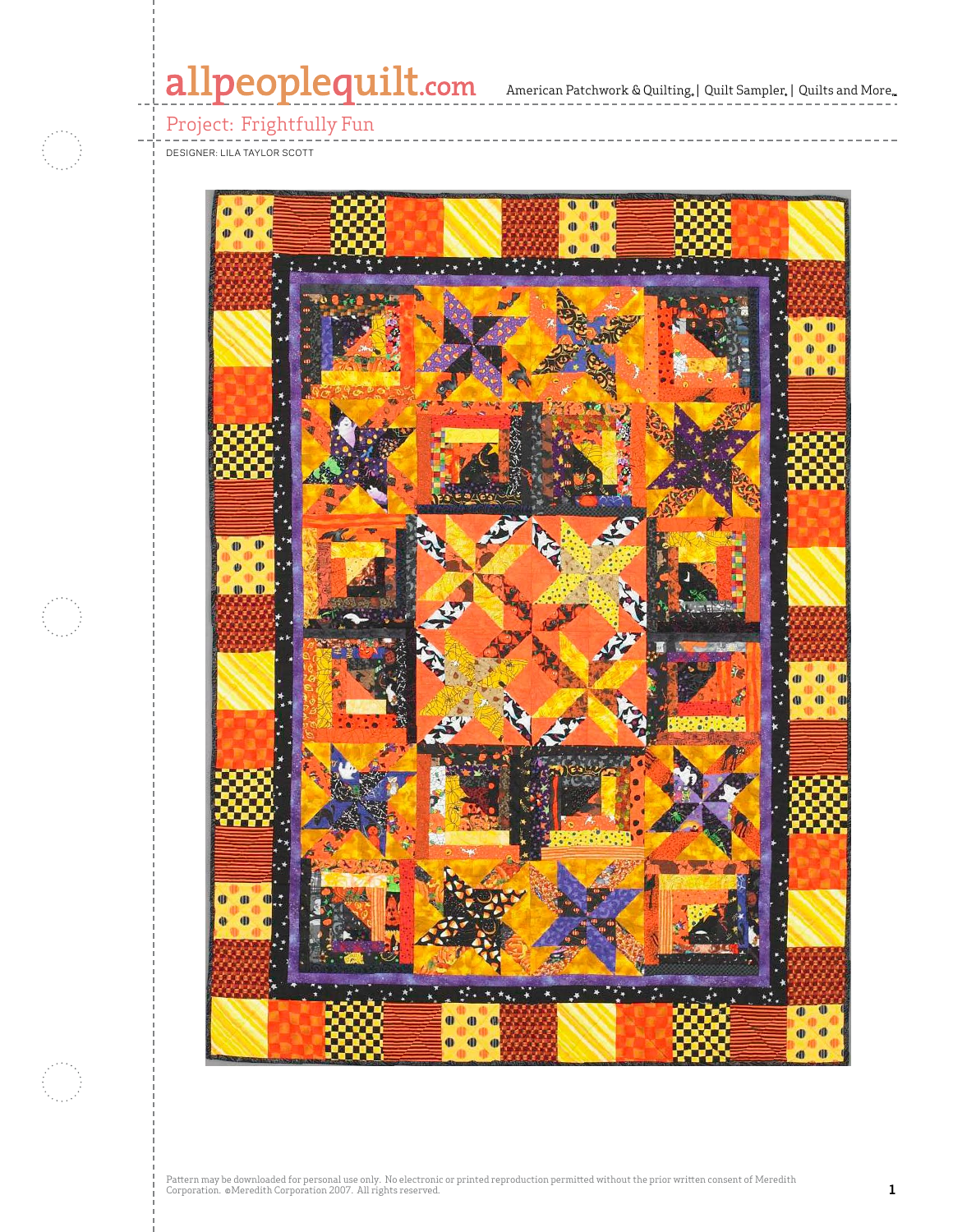# allpeoplequilt.com American Patchwork & Quilting, | Quilt Sampler, | Quilts and More...



Project: Frightfully Fun

Designer: Lila Taylor Scott

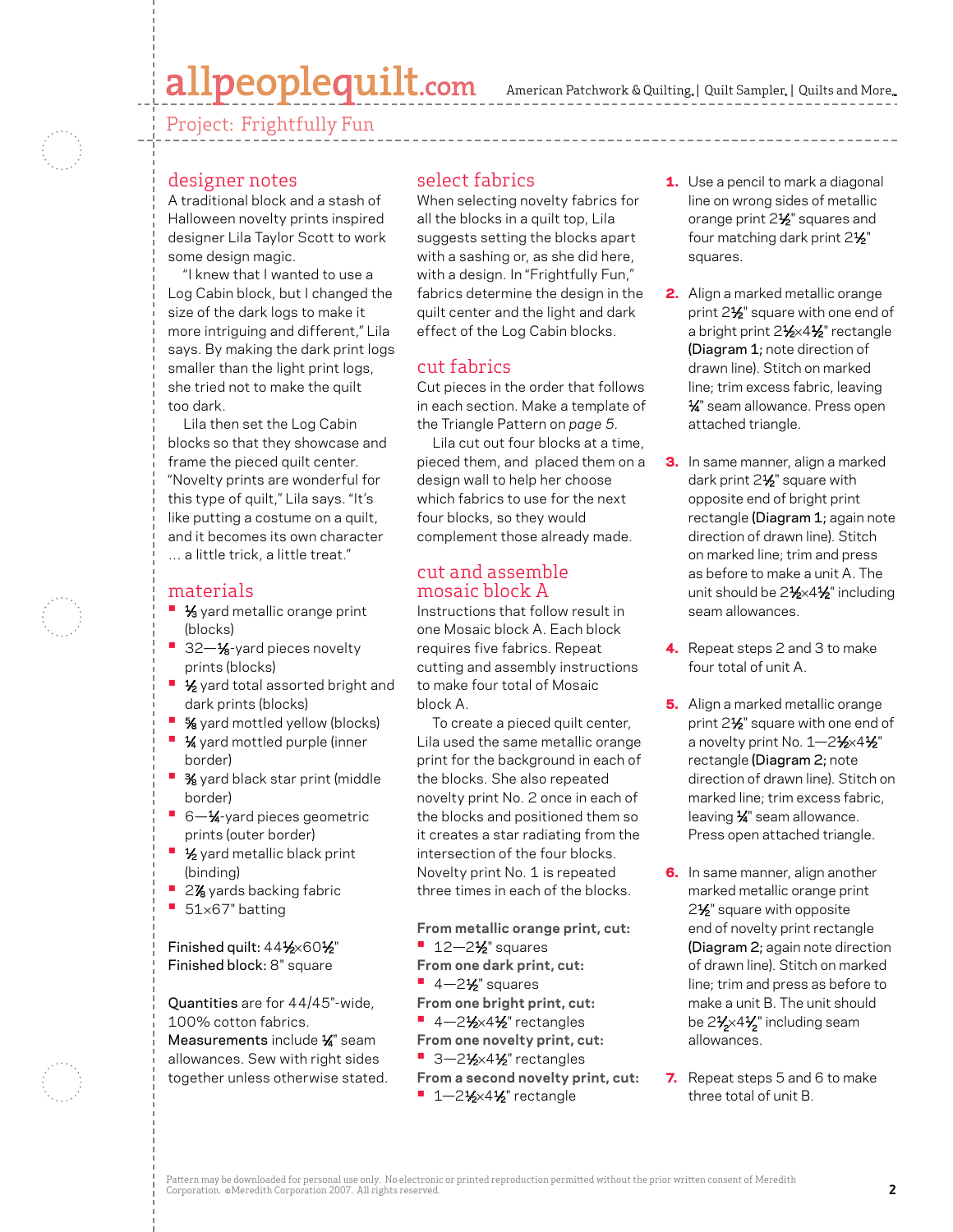# allpeoplequilt.com

American Patchwork & Quilting, | Quilt Sampler, | Quilts and More...

Project: Frightfully Fun

## designer notes

A traditional block and a stash of Halloween novelty prints inspired designer Lila Taylor Scott to work some design magic.

"I knew that I wanted to use a Log Cabin block, but I changed the size of the dark logs to make it more intriguing and different," Lila says. By making the dark print logs smaller than the light print logs, she tried not to make the quilt too dark.

Lila then set the Log Cabin blocks so that they showcase and frame the pieced quilt center. "Novelty prints are wonderful for this type of quilt," Lila says. "It's like putting a costume on a quilt, and it becomes its own character … a little trick, a little treat."

#### materials

- **1/3** yard metallic orange print (blocks)
- **32-1/8-yard pieces novelty** prints (blocks)
- **1/<sub>2</sub>** yard total assorted bright and dark prints (blocks)
- **•**  5⁄8 yard mottled yellow (blocks)
- **1⁄4** yard mottled purple (inner border)
- **3**⁄8 yard black star print (middle border)
- 6-<sup>1</sup>⁄<sub>4</sub>-yard pieces geometric prints (outer border)
- **1⁄2** yard metallic black print (binding)
- 2% yards backing fabric
- **•**  <sup>51</sup>×67" batting

Finished quilt: 441⁄2×601⁄2" Finished block: 8" square

Quantities are for 44/45"-wide, 100% cotton fabrics. Measurements include 1⁄ 4" seam allowances. Sew with right sides together unless otherwise stated.

#### select fabrics

When selecting novelty fabrics for all the blocks in a quilt top, Lila suggests setting the blocks apart with a sashing or, as she did here, with a design. In "Frightfully Fun," fabrics determine the design in the quilt center and the light and dark effect of the Log Cabin blocks.

### cut fabrics

Cut pieces in the order that follows in each section. Make a template of the Triangle Pattern on *page 5.*

Lila cut out four blocks at a time, pieced them, and placed them on a design wall to help her choose which fabrics to use for the next four blocks, so they would complement those already made.

#### cut and assemble mosaic block A

Instructions that follow result in one Mosaic block A. Each block requires five fabrics. Repeat cutting and assembly instructions to make four total of Mosaic block A.

To create a pieced quilt center, Lila used the same metallic orange print for the background in each of the blocks. She also repeated novelty print No. 2 once in each of the blocks and positioned them so it creates a star radiating from the intersection of the four blocks. Novelty print No. 1 is repeated three times in each of the blocks.

**From metallic orange print, cut: •** 12-2<sup>1</sup>⁄<sub>2</sub>" squares **From one dark print, cut: •** 4-2<sup>1</sup>⁄<sub>2</sub>" squares **From one bright print, cut:** ■ 4-2<sup>1</sup>⁄<sub>2</sub>×4<sup>1</sup>⁄<sub>2</sub>" rectangles **From one novelty print, cut:** ■ 3-21⁄<sub>2×41</sub>⁄2" rectangles

**From a second novelty print, cut: •** 1-21⁄2×41⁄2" rectangle

- **1.** Use a pencil to mark a diagonal line on wrong sides of metallic orange print 2<sup>1/2</sup> squares and four matching dark print 21/2" squares.
- 2. Align a marked metallic orange print 2<sup>1/2</sup> square with one end of a bright print 21⁄2×41⁄2" rectangle (Diagram 1; note direction of drawn line). Stitch on marked line; trim excess fabric, leaving 1⁄ 4" seam allowance. Press open attached triangle.
- **3.** In same manner, align a marked dark print 2<sup>1/2</sup> square with opposite end of bright print rectangle (Diagram 1; again note direction of drawn line). Stitch on marked line; trim and press as before to make a unit A. The unit should be 2<sup>1</sup>/<sub>2</sub>×4<sup>1</sup>/<sub>2</sub>" including seam allowances.
- 4. Repeat steps 2 and 3 to make four total of unit A.
- 5. Align a marked metallic orange print 2<sup>1/2</sup> square with one end of a novelty print No. 1-21⁄2×41⁄2" rectangle (Diagram 2; note direction of drawn line). Stitch on marked line; trim excess fabric, leaving 1⁄ 4" seam allowance. Press open attached triangle.
- 6. In same manner, align another marked metallic orange print 2<sup>1</sup>⁄<sub>2</sub>" square with opposite end of novelty print rectangle (Diagram 2; again note direction of drawn line). Stitch on marked line; trim and press as before to make a unit B. The unit should be 2 $\frac{1}{2}\times 4\frac{1}{2}$ " including seam allowances.
- 7. Repeat steps 5 and 6 to make three total of unit B.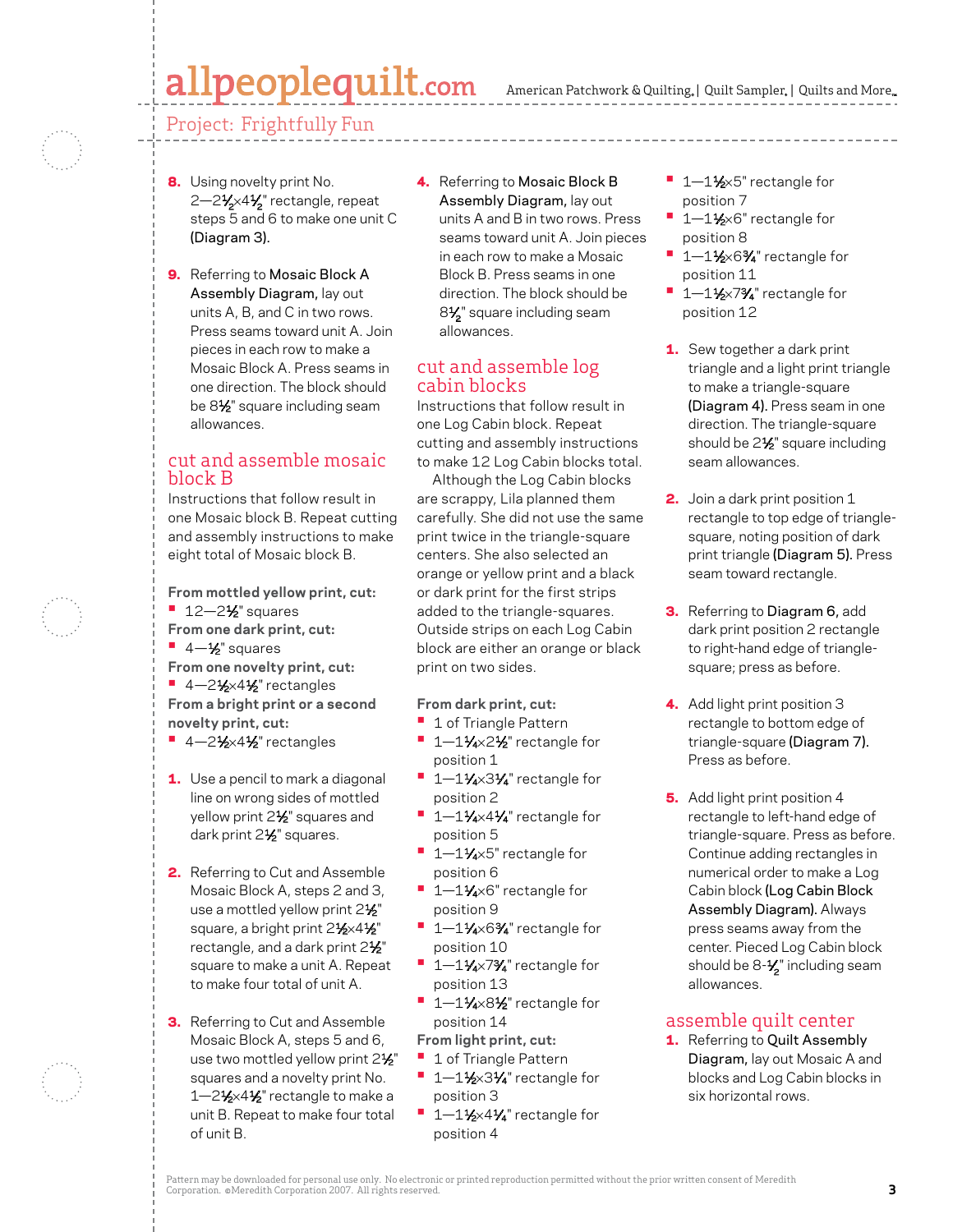#### American Patchwork & Quilting, | Quilt Sampler, | Quilts and More...

# allpeoplequilt.com

# Project: Frightfully Fun

- 8. Using novelty print No. 2—2½×4½" rectangle, repeat steps 5 and 6 to make one unit C (Diagram 3).
- 9. Referring to Mosaic Block A Assembly Diagram, lay out units A, B, and C in two rows. Press seams toward unit A. Join pieces in each row to make a Mosaic Block A. Press seams in one direction. The block should be 81⁄2" square including seam allowances.

### cut and assemble mosaic block B

Instructions that follow result in one Mosaic block B. Repeat cutting and assembly instructions to make eight total of Mosaic block B.

**From mottled yellow print, cut: •** 12-2<sup>1</sup>⁄<sub>2</sub>" squares **From one dark print, cut: •**  4—1⁄2" squares **From one novelty print, cut:** ■ 4-21⁄2×41⁄2" rectangles **From a bright print or a second novelty print, cut:**

- 4-21⁄2×41⁄2" rectangles
- 1. Use a pencil to mark a diagonal line on wrong sides of mottled yellow print 2<sup>1/2</sup> squares and dark print 2½" squares.
- 2. Referring to Cut and Assemble Mosaic Block A, steps 2 and 3, use a mottled yellow print 2<sup>1/2"</sup> square, a bright print 21⁄2×41⁄2" rectangle, and a dark print 21%" square to make a unit A. Repeat to make four total of unit A.
- **3.** Referring to Cut and Assemble Mosaic Block A, steps 5 and 6, use two mottled yellow print  $2\frac{1}{2}$ " squares and a novelty print No. 1-21/<sub>2</sub>×41/<sub>2</sub>" rectangle to make a unit B. Repeat to make four total of unit B.

4. Referring to Mosaic Block B Assembly Diagram, lay out units A and B in two rows. Press seams toward unit A. Join pieces in each row to make a Mosaic Block B. Press seams in one direction. The block should be 8**½**" square including seam allowances.

#### cut and assemble log cabin blocks

Instructions that follow result in one Log Cabin block. Repeat cutting and assembly instructions to make 12 Log Cabin blocks total.

 Although the Log Cabin blocks are scrappy, Lila planned them carefully. She did not use the same print twice in the triangle-square centers. She also selected an orange or yellow print and a black or dark print for the first strips added to the triangle-squares. Outside strips on each Log Cabin block are either an orange or black print on two sides.

#### **From dark print, cut:**

- **•**  1 of Triangle Pattern
- 1-11⁄4×2½" rectangle for position 1
- 1-11⁄4×31⁄4" rectangle for position 2
- 1-11⁄4×41⁄4" rectangle for position 5
- **•**  1—11⁄4×5" rectangle for position 6
- 1–11⁄4×6" rectangle for position 9
- 1–11⁄4×6<sup>3</sup>/4" rectangle for position 10
- <sup>1</sup> 1–11⁄4×7<sup>3</sup>/4" rectangle for position 13
- **•**  1—11⁄4×81⁄2" rectangle for position 14
- **From light print, cut:**
- **•**  1 of Triangle Pattern **<sup>■</sup>** 1-1½×31⁄4" rectangle for position 3
- <sup>1</sup> 1–1½×4¼" rectangle for position 4
- 1–1½×5" rectangle for position 7
- 1–1½×6" rectangle for position 8
- 1-1½×6<sup>3</sup>⁄4" rectangle for position 11
- **1–1½×7¾** rectangle for position 12
- 1. Sew together a dark print triangle and a light print triangle to make a triangle-square (Diagram 4). Press seam in one direction. The triangle-square should be  $2\frac{1}{2}$ " square including seam allowances.
- **2.** Join a dark print position 1 rectangle to top edge of trianglesquare, noting position of dark print triangle (Diagram 5). Press seam toward rectangle.
- **3.** Referring to Diagram 6, add dark print position 2 rectangle to right-hand edge of trianglesquare; press as before.
- 4. Add light print position 3 rectangle to bottom edge of triangle-square (Diagram 7). Press as before.
- 5. Add light print position 4 rectangle to left-hand edge of triangle-square. Press as before. Continue adding rectangles in numerical order to make a Log Cabin block (Log Cabin Block Assembly Diagram). Always press seams away from the center. Pieced Log Cabin block should be 8-1⁄ <sup>2</sup>" including seam allowances.

#### assemble quilt center

1. Referring to Quilt Assembly Diagram, lay out Mosaic A and blocks and Log Cabin blocks in six horizontal rows.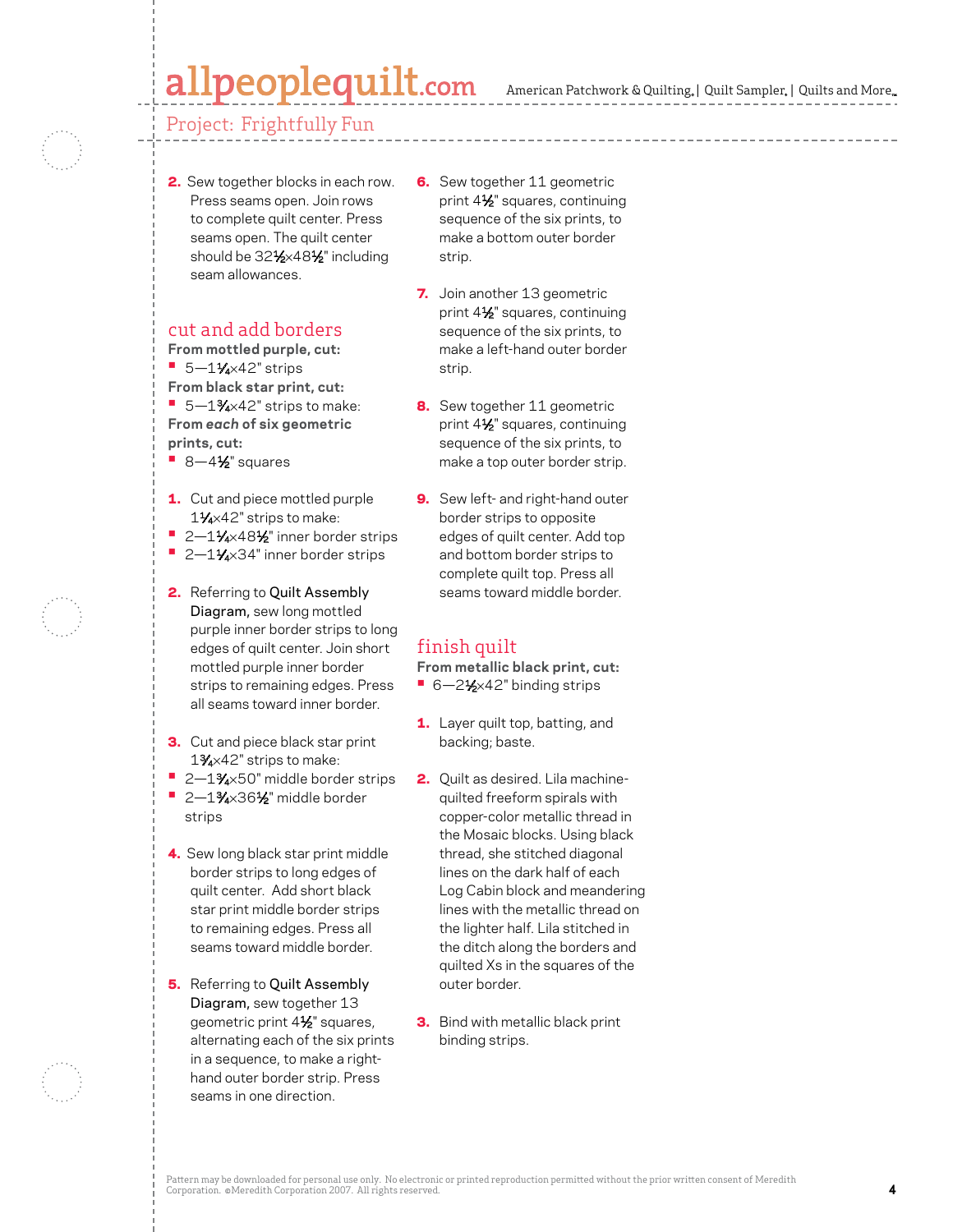# peoplequilt.com.

## Project: Frightfully Fun

2. Sew together blocks in each row. Press seams open. Join rows to complete quilt center. Press seams open. The quilt center should be 321⁄2×481⁄2" including seam allowances.

### cut and add borders

**From mottled purple, cut:**

- **•** 5-11/4×42" strips
- **From black star print, cut:** ■ 5-1<sup>3</sup>⁄4×42" strips to make: **From** *each* **of six geometric**
- **prints, cut:**
- **•** 8-4½" squares
- 1. Cut and piece mottled purple 11⁄4×42" strips to make:
- **•**  2—11⁄4×481⁄2" inner border strips
- 2-11⁄4×34" inner border strips
- 2. Referring to Quilt Assembly Diagram, sew long mottled purple inner border strips to long edges of quilt center. Join short mottled purple inner border strips to remaining edges. Press all seams toward inner border.
- **3.** Cut and piece black star print 13⁄4×42" strips to make:
- 2-1<sup>3</sup>⁄4×50" middle border strips
- **•**  2—13⁄4×361⁄2" middle border strips
- 4. Sew long black star print middle border strips to long edges of quilt center. Add short black star print middle border strips to remaining edges. Press all seams toward middle border.
- **5.** Referring to Quilt Assembly Diagram, sew together 13 geometric print 41⁄2" squares, alternating each of the six prints in a sequence, to make a righthand outer border strip. Press seams in one direction.
- **6.** Sew together 11 geometric print 41⁄2" squares, continuing sequence of the six prints, to make a bottom outer border strip.
- 7. Join another 13 geometric print 41⁄2" squares, continuing sequence of the six prints, to make a left-hand outer border strip.
- 8. Sew together 11 geometric print 41⁄2" squares, continuing sequence of the six prints, to make a top outer border strip.
- 9. Sew left- and right-hand outer border strips to opposite edges of quilt center. Add top and bottom border strips to complete quilt top. Press all seams toward middle border.

# finish quilt

**From metallic black print, cut:**

- 6-2½×42" binding strips
- **1.** Layer quilt top, batting, and backing; baste.
- 2. Quilt as desired. Lila machinequilted freeform spirals with copper-color metallic thread in the Mosaic blocks. Using black thread, she stitched diagonal lines on the dark half of each Log Cabin block and meandering lines with the metallic thread on the lighter half. Lila stitched in the ditch along the borders and quilted Xs in the squares of the outer border.
- **3.** Bind with metallic black print binding strips.

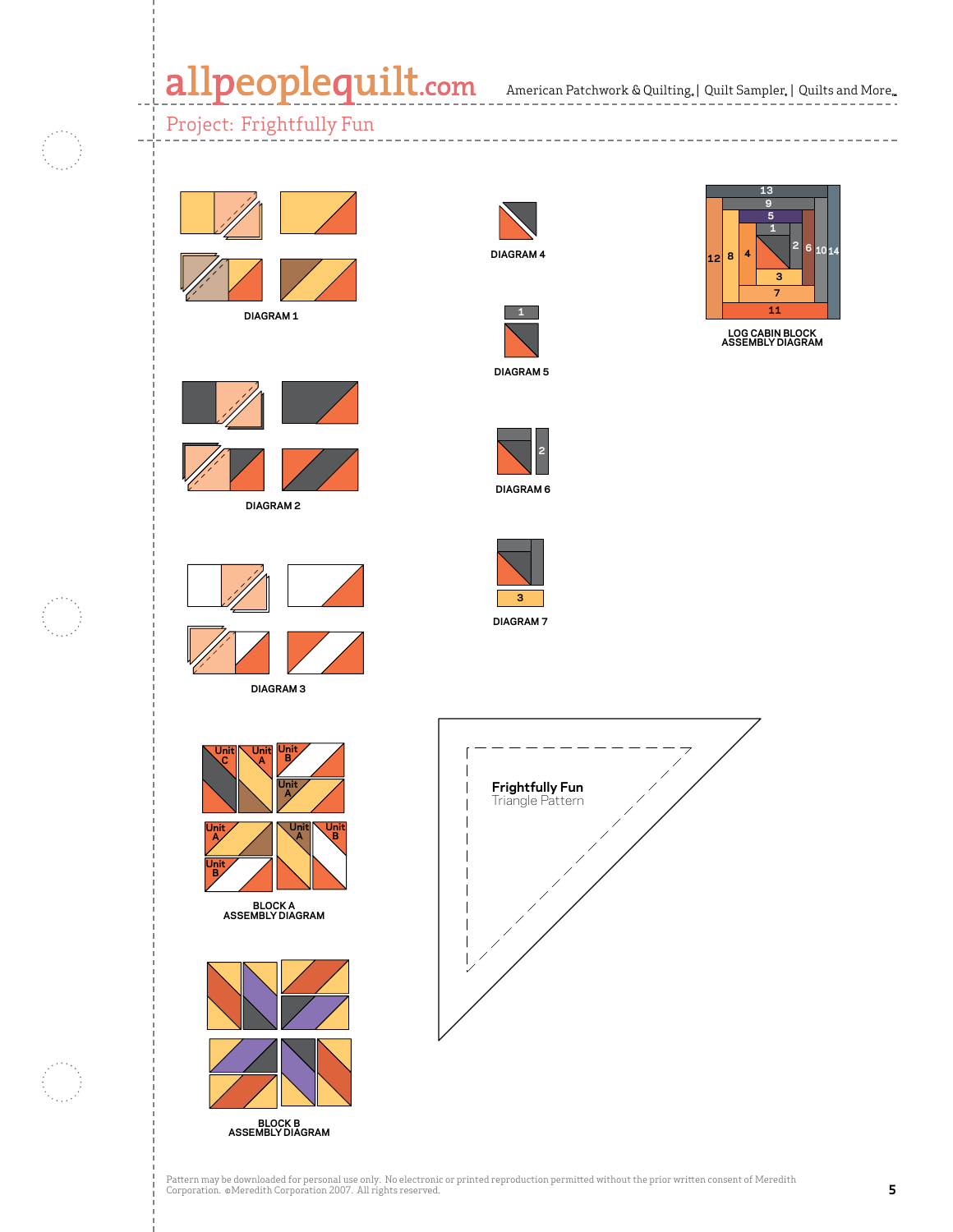American Patchwork & Quilting | Quilt Sampler | Quilts and More **APQ October 2007 CMR ??? Harvest Moonlight**

**C. Neubauer 5-22-07**

**(Halloween Log Cabin)**

**APQ October 2007 CMR ??? Harvest Moonlight (Halloween Log Cabin)**

**C. Neubauer 5-22-07 2** 6 1014

**Diagram 6**

**6 <sup>10</sup> <sup>14</sup>**

**2**

**LOG CABIN BLOCK ASSEMBLY DIAGRAM**

> **3 7 11**

**4**

**12 8**

# Project: Frightfully Fun



**DIAGRAM 1**





**DIAGRAM 2**





**DIAGRAM 3**



**Unit B**

**BLOCK A ASSEMBLY DIAGRAM**



**BLOCK B ASSEMBLY DIAGRAM**



**CMR ??? Harvest Moonlight**



**DIAGRAM 5**



**DIAGRAM 6**



**(Halloween Log Cabin) DIAGRAM 7**



Pattern may be downloaded for personal use only. No electronic or printed reproduction permitted without the prior written consent of Meredith<br>Corporation. ©Meredith Corporation 2007. All rights reserved.